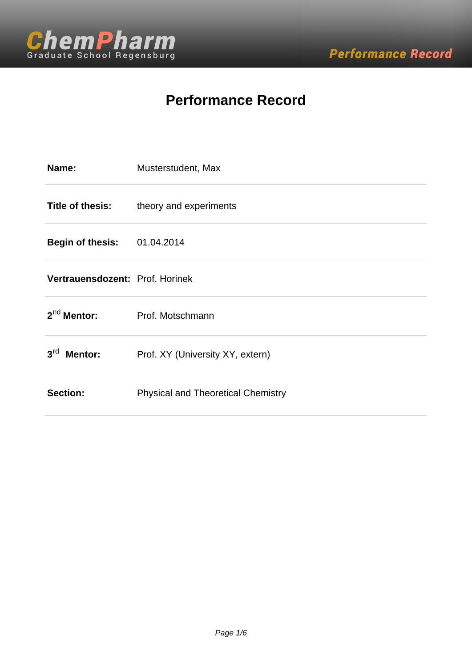

# **Performance Record**

| Name:                              | Musterstudent, Max                        |
|------------------------------------|-------------------------------------------|
| <b>Title of thesis:</b>            | theory and experiments                    |
| <b>Begin of thesis: 01.04.2014</b> |                                           |
| Vertrauensdozent: Prof. Horinek    |                                           |
| $2^{nd}$ Mentor:                   | Prof. Motschmann                          |
| $3^{\text{rd}}$<br><b>Mentor:</b>  | Prof. XY (University XY, extern)          |
| Section:                           | <b>Physical and Theoretical Chemistry</b> |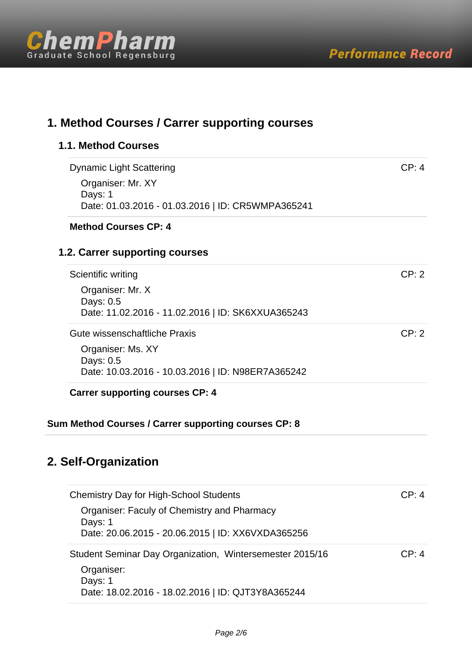

| 1. Method Courses / Carrer supporting courses                  |       |  |  |
|----------------------------------------------------------------|-------|--|--|
| <b>1.1. Method Courses</b>                                     |       |  |  |
| <b>Dynamic Light Scattering</b>                                | CP: 4 |  |  |
| Organiser: Mr. XY                                              |       |  |  |
| Days: 1<br>Date: 01.03.2016 - 01.03.2016   ID: CR5WMPA365241   |       |  |  |
| <b>Method Courses CP: 4</b>                                    |       |  |  |
| 1.2. Carrer supporting courses                                 |       |  |  |
| Scientific writing                                             | CP: 2 |  |  |
| Organiser: Mr. X                                               |       |  |  |
| Days: 0.5<br>Date: 11.02.2016 - 11.02.2016   ID: SK6XXUA365243 |       |  |  |
| Gute wissenschaftliche Praxis                                  | CP: 2 |  |  |
| Organiser: Ms. XY                                              |       |  |  |
| Days: 0.5<br>Date: 10.03.2016 - 10.03.2016   ID: N98ER7A365242 |       |  |  |
| <b>Carrer supporting courses CP: 4</b>                         |       |  |  |
| Sum Method Courses / Carrer supporting courses CP: 8           |       |  |  |
|                                                                |       |  |  |
| 2. Self-Organization                                           |       |  |  |
| <b>Chemistry Day for High-School Students</b>                  | CP: 4 |  |  |
| Organiser: Faculy of Chemistry and Pharmacy                    |       |  |  |
| Days: 1<br>Date: 20.06.2015 - 20.06.2015   ID: XX6VXDA365256   |       |  |  |
| Student Seminar Day Organization, Wintersemester 2015/16       | CP: 4 |  |  |
| Organiser:                                                     |       |  |  |
| Days: 1                                                        |       |  |  |

Date: 18.02.2016 - 18.02.2016 | ID: QJT3Y8A365244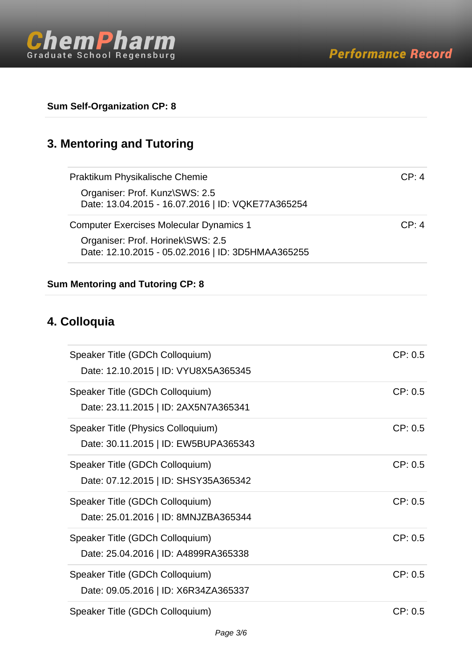

**Sum Self-Organization CP: 8**

## **3. Mentoring and Tutoring**

| Praktikum Physikalische Chemie                    | CP: 4   |
|---------------------------------------------------|---------|
| Organiser: Prof. Kunz\SWS: 2.5                    |         |
| Date: 13.04.2015 - 16.07.2016   ID: VQKE77A365254 |         |
| <b>Computer Exercises Molecular Dynamics 1</b>    | CP: 4   |
| Organiser: Prof. Horinek\SWS: 2.5                 |         |
| Date: 12.10.2015 - 05.02.2016   ID: 3D5HMAA365255 |         |
| <b>Sum Mentoring and Tutoring CP: 8</b>           |         |
| 4. Colloquia                                      |         |
| Speaker Title (GDCh Colloquium)                   | CP: 0.5 |
| Date: 12.10.2015   ID: VYU8X5A365345              |         |
| Speaker Title (GDCh Colloquium)                   | CP: 0.5 |
| Date: 23.11.2015   ID: 2AX5N7A365341              |         |
| Speaker Title (Physics Colloquium)                | CP: 0.5 |
| Date: 30.11.2015   ID: EW5BUPA365343              |         |
| Speaker Title (GDCh Colloquium)                   | CP: 0.5 |
| Date: 07.12.2015   ID: SHSY35A365342              |         |
| Speaker Title (GDCh Colloquium)                   | CP: 0.5 |
| Date: 25.01.2016   ID: 8MNJZBA365344              |         |
| Speaker Title (GDCh Colloquium)                   | CP: 0.5 |
| Date: 25.04.2016   ID: A4899RA365338              |         |
| Speaker Title (GDCh Colloquium)                   | CP: 0.5 |
| Date: 09.05.2016   ID: X6R34ZA365337              |         |

Speaker Title (GDCh Colloquium) CP: 0.5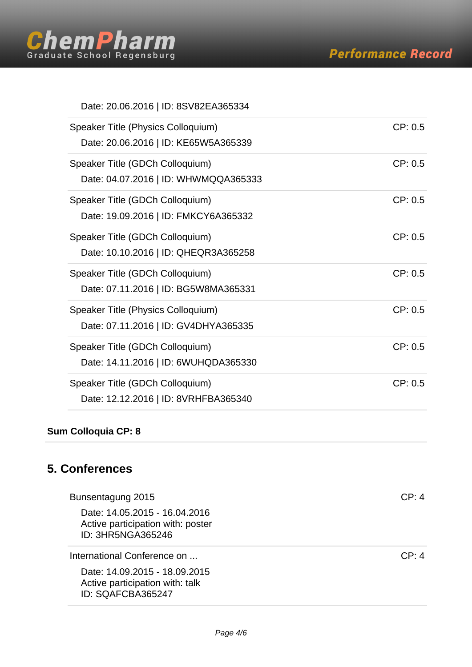

#### Date: 20.06.2016 | ID: 8SV82EA365334

| Speaker Title (Physics Colloquium)<br>Date: 20.06.2016   ID: KE65W5A365339 | CP: 0.5 |
|----------------------------------------------------------------------------|---------|
| Speaker Title (GDCh Colloquium)<br>Date: 04.07.2016   ID: WHWMQQA365333    | CP: 0.5 |
| Speaker Title (GDCh Colloquium)<br>Date: 19.09.2016   ID: FMKCY6A365332    | CP: 0.5 |
| Speaker Title (GDCh Colloquium)<br>Date: 10.10.2016   ID: QHEQR3A365258    | CP: 0.5 |
| Speaker Title (GDCh Colloquium)<br>Date: 07.11.2016   ID: BG5W8MA365331    | CP: 0.5 |
| Speaker Title (Physics Colloquium)<br>Date: 07.11.2016   ID: GV4DHYA365335 | CP: 0.5 |
| Speaker Title (GDCh Colloquium)<br>Date: 14.11.2016   ID: 6WUHQDA365330    | CP: 0.5 |
| Speaker Title (GDCh Colloquium)<br>Date: 12.12.2016   ID: 8VRHFBA365340    | CP: 0.5 |

### **Sum Colloquia CP: 8**

### **5. Conferences**

| Bunsentagung 2015                                                                       | CP: 4 |
|-----------------------------------------------------------------------------------------|-------|
| Date: 14.05.2015 - 16.04.2016<br>Active participation with: poster<br>ID: 3HR5NGA365246 |       |
| International Conference on                                                             | CP: 4 |
| Date: 14.09.2015 - 18.09.2015<br>Active participation with: talk<br>ID: SQAFCBA365247   |       |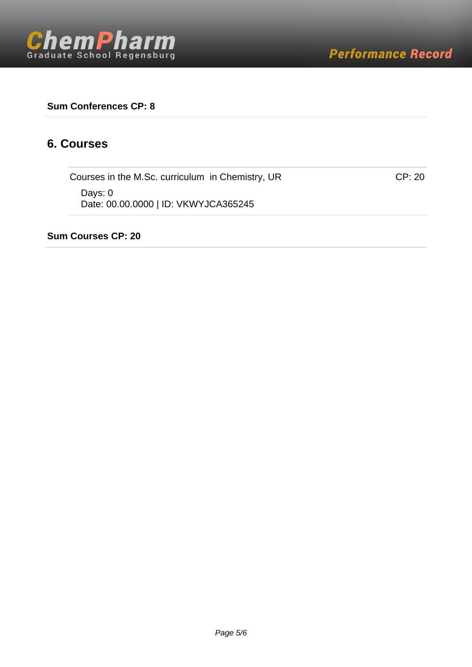#### **Sum Conferences CP: 8**

#### **6. Courses**

Courses in the M.Sc. curriculum in Chemistry, UR COURSES 1988 CP: 20 Days: 0 Date: 00.00.0000 | ID: VKWYJCA365245

**Sum Courses CP: 20**